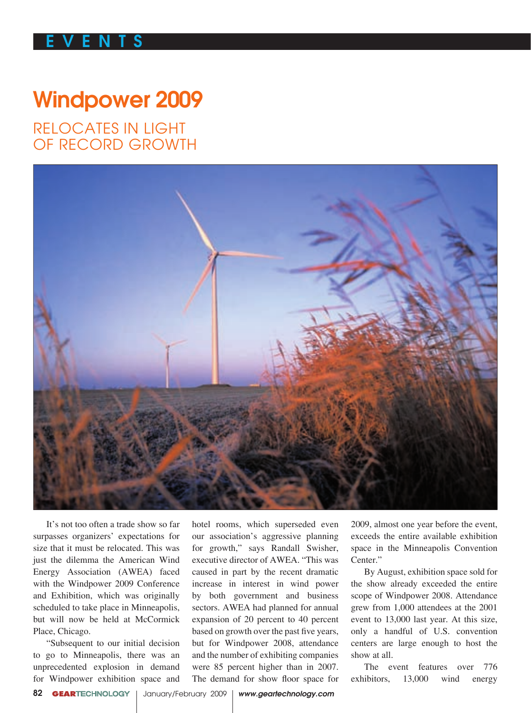## E V E N T S E V E N T S

## Windpower 2009

RELOCATES IN LIGHT OF RECORD GROWTH



It's not too often a trade show so far surpasses organizers' expectations for size that it must be relocated. This was just the dilemma the American Wind Energy Association (AWEA) faced with the Windpower 2009 Conference and Exhibition, which was originally scheduled to take place in Minneapolis, but will now be held at McCormick Place, Chicago.

"Subsequent to our initial decision to go to Minneapolis, there was an unprecedented explosion in demand for Windpower exhibition space and

hotel rooms, which superseded even our association's aggressive planning for growth," says Randall Swisher, executive director of AWEA. "This was caused in part by the recent dramatic increase in interest in wind power by both government and business sectors. AWEA had planned for annual expansion of 20 percent to 40 percent based on growth over the past five years, but for Windpower 2008, attendance and the number of exhibiting companies were 85 percent higher than in 2007. The demand for show floor space for

2009, almost one year before the event, exceeds the entire available exhibition space in the Minneapolis Convention Center."

By August, exhibition space sold for the show already exceeded the entire scope of Windpower 2008. Attendance grew from 1,000 attendees at the 2001 event to 13,000 last year. At this size, only a handful of U.S. convention centers are large enough to host the show at all.

The event features over 776 exhibitors, 13,000 wind energy